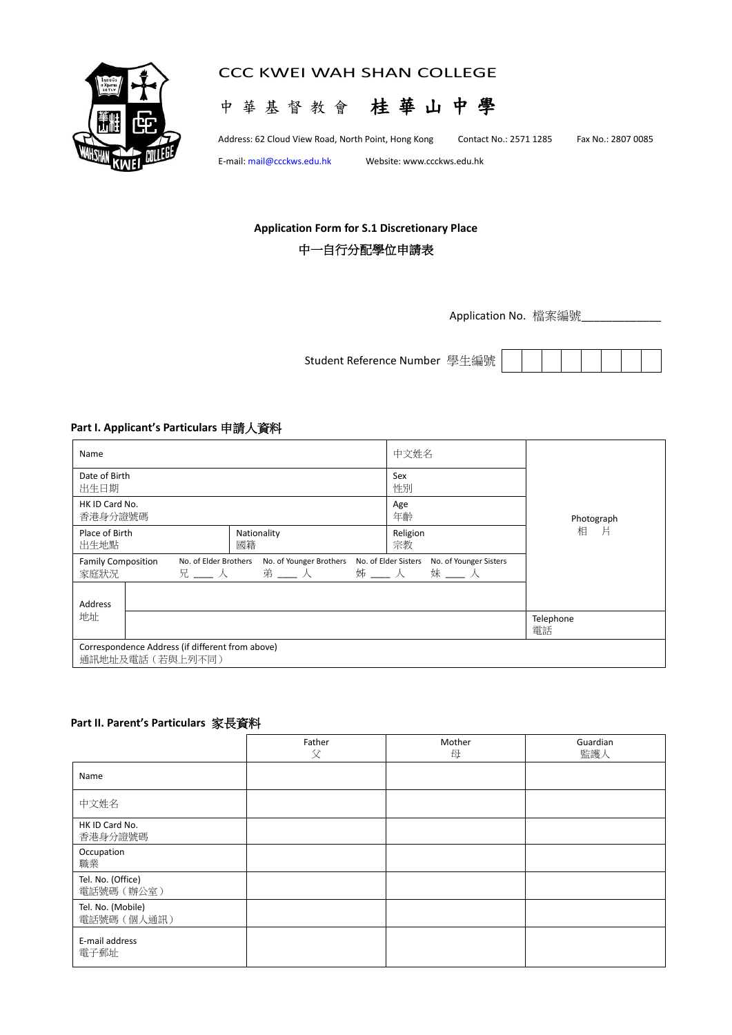

# CCC KWEI WAH SHAN COLLEGE



Address: 62 Cloud View Road, North Point, Hong Kong Contact No.: 2571 1285 Fax No.: 2807 0085

E-mail[: mail@ccckws.edu.hk](mailto:mail@ccckws.edu.hk) Website: www.ccckws.edu.hk

# **Application Form for S.1 Discretionary Place**

# 中一自行分配學位申請表

Application No. 檔案編號

Student Reference Number 學生編號

## **Part I. Applicant's Particulars** 申請人資料

| Name                                                                                  |  |                     | 中文姓名                                                    |                 |  |  |
|---------------------------------------------------------------------------------------|--|---------------------|---------------------------------------------------------|-----------------|--|--|
| Date of Birth<br>出生日期                                                                 |  |                     | Sex<br>性別                                               |                 |  |  |
| HK ID Card No.<br>香港身分證號碼                                                             |  |                     | Age<br>年齡                                               | Photograph      |  |  |
| Place of Birth<br>出生地點                                                                |  | Nationality<br>國籍   | Religion<br>宗教                                          | 一片<br>相         |  |  |
| <b>Family Composition</b><br>No. of Elder Brothers<br>No. of Younger Brothers<br>家庭狀況 |  | 弟 ___ 人 ___ 姊 ___ 人 | No. of Elder Sisters<br>No. of Younger Sisters<br>妹___人 |                 |  |  |
| Address                                                                               |  |                     |                                                         |                 |  |  |
| 地址                                                                                    |  |                     |                                                         | Telephone<br>電話 |  |  |
| Correspondence Address (if different from above)<br>通訊地址及電話 (若與上列不同)                  |  |                     |                                                         |                 |  |  |

#### **Part II. Parent's Particulars** 家長資料

|                                  | Father<br>父 | Mother<br>母 | Guardian<br>監護人 |
|----------------------------------|-------------|-------------|-----------------|
| Name                             |             |             |                 |
| 中文姓名                             |             |             |                 |
| HK ID Card No.<br>香港身分證號碼        |             |             |                 |
| Occupation<br>職業                 |             |             |                 |
| Tel. No. (Office)<br>電話號碼 (辦公室)  |             |             |                 |
| Tel. No. (Mobile)<br>電話號碼 (個人通訊) |             |             |                 |
| E-mail address<br>電子郵址           |             |             |                 |